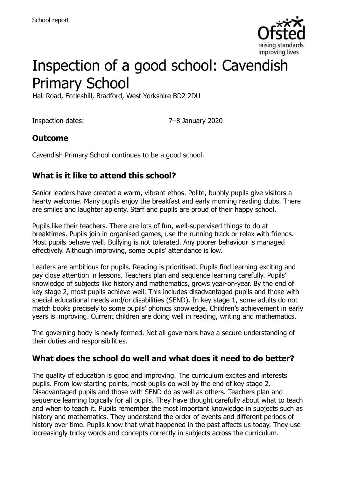

# Inspection of a good school: Cavendish Primary School

Hall Road, Eccleshill, Bradford, West Yorkshire BD2 2DU

Inspection dates: 7–8 January 2020

# **Outcome**

Cavendish Primary School continues to be a good school.

# **What is it like to attend this school?**

Senior leaders have created a warm, vibrant ethos. Polite, bubbly pupils give visitors a hearty welcome. Many pupils enjoy the breakfast and early morning reading clubs. There are smiles and laughter aplenty. Staff and pupils are proud of their happy school.

Pupils like their teachers. There are lots of fun, well-supervised things to do at breaktimes. Pupils join in organised games, use the running track or relax with friends. Most pupils behave well. Bullying is not tolerated. Any poorer behaviour is managed effectively. Although improving, some pupils' attendance is low.

Leaders are ambitious for pupils. Reading is prioritised. Pupils find learning exciting and pay close attention in lessons. Teachers plan and sequence learning carefully. Pupils' knowledge of subjects like history and mathematics, grows year-on-year. By the end of key stage 2, most pupils achieve well. This includes disadvantaged pupils and those with special educational needs and/or disabilities (SEND). In key stage 1, some adults do not match books precisely to some pupils' phonics knowledge. Children's achievement in early years is improving. Current children are doing well in reading, writing and mathematics.

The governing body is newly formed. Not all governors have a secure understanding of their duties and responsibilities.

#### **What does the school do well and what does it need to do better?**

The quality of education is good and improving. The curriculum excites and interests pupils. From low starting points, most pupils do well by the end of key stage 2. Disadvantaged pupils and those with SEND do as well as others. Teachers plan and sequence learning logically for all pupils. They have thought carefully about what to teach and when to teach it. Pupils remember the most important knowledge in subjects such as history and mathematics. They understand the order of events and different periods of history over time. Pupils know that what happened in the past affects us today. They use increasingly tricky words and concepts correctly in subjects across the curriculum.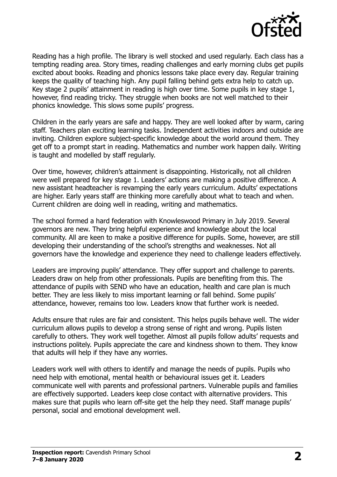

Reading has a high profile. The library is well stocked and used regularly. Each class has a tempting reading area. Story times, reading challenges and early morning clubs get pupils excited about books. Reading and phonics lessons take place every day. Regular training keeps the quality of teaching high. Any pupil falling behind gets extra help to catch up. Key stage 2 pupils' attainment in reading is high over time. Some pupils in key stage 1, however, find reading tricky. They struggle when books are not well matched to their phonics knowledge. This slows some pupils' progress.

Children in the early years are safe and happy. They are well looked after by warm, caring staff. Teachers plan exciting learning tasks. Independent activities indoors and outside are inviting. Children explore subject-specific knowledge about the world around them. They get off to a prompt start in reading. Mathematics and number work happen daily. Writing is taught and modelled by staff regularly.

Over time, however, children's attainment is disappointing. Historically, not all children were well prepared for key stage 1. Leaders' actions are making a positive difference. A new assistant headteacher is revamping the early years curriculum. Adults' expectations are higher. Early years staff are thinking more carefully about what to teach and when. Current children are doing well in reading, writing and mathematics.

The school formed a hard federation with Knowleswood Primary in July 2019. Several governors are new. They bring helpful experience and knowledge about the local community. All are keen to make a positive difference for pupils. Some, however, are still developing their understanding of the school's strengths and weaknesses. Not all governors have the knowledge and experience they need to challenge leaders effectively.

Leaders are improving pupils' attendance. They offer support and challenge to parents. Leaders draw on help from other professionals. Pupils are benefiting from this. The attendance of pupils with SEND who have an education, health and care plan is much better. They are less likely to miss important learning or fall behind. Some pupils' attendance, however, remains too low. Leaders know that further work is needed.

Adults ensure that rules are fair and consistent. This helps pupils behave well. The wider curriculum allows pupils to develop a strong sense of right and wrong. Pupils listen carefully to others. They work well together. Almost all pupils follow adults' requests and instructions politely. Pupils appreciate the care and kindness shown to them. They know that adults will help if they have any worries.

Leaders work well with others to identify and manage the needs of pupils. Pupils who need help with emotional, mental health or behavioural issues get it. Leaders communicate well with parents and professional partners. Vulnerable pupils and families are effectively supported. Leaders keep close contact with alternative providers. This makes sure that pupils who learn off-site get the help they need. Staff manage pupils' personal, social and emotional development well.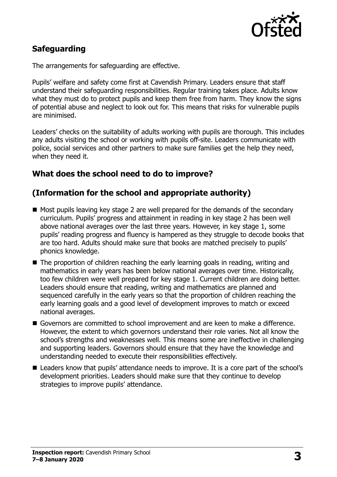

# **Safeguarding**

The arrangements for safeguarding are effective.

Pupils' welfare and safety come first at Cavendish Primary. Leaders ensure that staff understand their safeguarding responsibilities. Regular training takes place. Adults know what they must do to protect pupils and keep them free from harm. They know the signs of potential abuse and neglect to look out for. This means that risks for vulnerable pupils are minimised.

Leaders' checks on the suitability of adults working with pupils are thorough. This includes any adults visiting the school or working with pupils off-site. Leaders communicate with police, social services and other partners to make sure families get the help they need, when they need it.

### **What does the school need to do to improve?**

### **(Information for the school and appropriate authority)**

- $\blacksquare$  Most pupils leaving key stage 2 are well prepared for the demands of the secondary curriculum. Pupils' progress and attainment in reading in key stage 2 has been well above national averages over the last three years. However, in key stage 1, some pupils' reading progress and fluency is hampered as they struggle to decode books that are too hard. Adults should make sure that books are matched precisely to pupils' phonics knowledge.
- The proportion of children reaching the early learning goals in reading, writing and mathematics in early years has been below national averages over time. Historically, too few children were well prepared for key stage 1. Current children are doing better. Leaders should ensure that reading, writing and mathematics are planned and sequenced carefully in the early years so that the proportion of children reaching the early learning goals and a good level of development improves to match or exceed national averages.
- Governors are committed to school improvement and are keen to make a difference. However, the extent to which governors understand their role varies. Not all know the school's strengths and weaknesses well. This means some are ineffective in challenging and supporting leaders. Governors should ensure that they have the knowledge and understanding needed to execute their responsibilities effectively.
- Leaders know that pupils' attendance needs to improve. It is a core part of the school's development priorities. Leaders should make sure that they continue to develop strategies to improve pupils' attendance.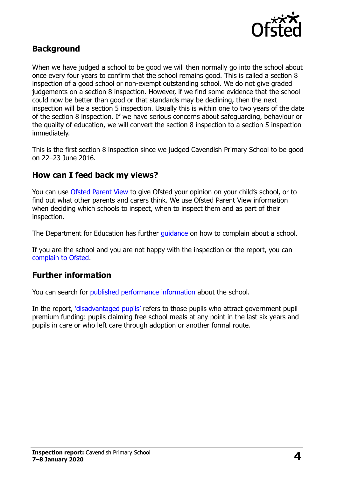

#### **Background**

When we have judged a school to be good we will then normally go into the school about once every four years to confirm that the school remains good. This is called a section 8 inspection of a good school or non-exempt outstanding school. We do not give graded judgements on a section 8 inspection. However, if we find some evidence that the school could now be better than good or that standards may be declining, then the next inspection will be a section 5 inspection. Usually this is within one to two years of the date of the section 8 inspection. If we have serious concerns about safeguarding, behaviour or the quality of education, we will convert the section 8 inspection to a section 5 inspection immediately.

This is the first section 8 inspection since we judged Cavendish Primary School to be good on 22–23 June 2016.

#### **How can I feed back my views?**

You can use [Ofsted Parent View](https://parentview.ofsted.gov.uk/) to give Ofsted your opinion on your child's school, or to find out what other parents and carers think. We use Ofsted Parent View information when deciding which schools to inspect, when to inspect them and as part of their inspection.

The Department for Education has further quidance on how to complain about a school.

If you are the school and you are not happy with the inspection or the report, you can [complain to Ofsted.](https://www.gov.uk/complain-ofsted-report)

#### **Further information**

You can search for [published performance information](http://www.compare-school-performance.service.gov.uk/) about the school.

In the report, ['disadvantaged pupils'](http://www.gov.uk/guidance/pupil-premium-information-for-schools-and-alternative-provision-settings) refers to those pupils who attract government pupil premium funding: pupils claiming free school meals at any point in the last six years and pupils in care or who left care through adoption or another formal route.

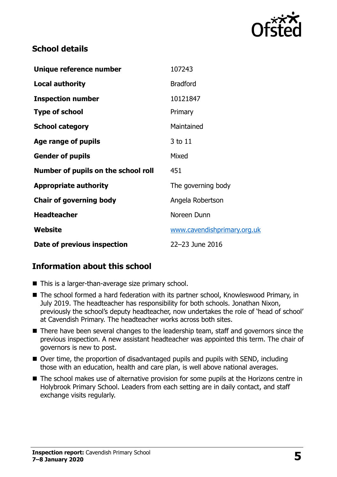

### **School details**

| Unique reference number             | 107243                      |
|-------------------------------------|-----------------------------|
| Local authority                     | <b>Bradford</b>             |
| <b>Inspection number</b>            | 10121847                    |
| <b>Type of school</b>               | Primary                     |
| <b>School category</b>              | Maintained                  |
| Age range of pupils                 | 3 to 11                     |
| <b>Gender of pupils</b>             | Mixed                       |
| Number of pupils on the school roll | 451                         |
| <b>Appropriate authority</b>        | The governing body          |
| <b>Chair of governing body</b>      | Angela Robertson            |
| <b>Headteacher</b>                  | Noreen Dunn                 |
| Website                             | www.cavendishprimary.org.uk |
| Date of previous inspection         | 22-23 June 2016             |

# **Information about this school**

- This is a larger-than-average size primary school.
- The school formed a hard federation with its partner school, Knowleswood Primary, in July 2019. The headteacher has responsibility for both schools. Jonathan Nixon, previously the school's deputy headteacher, now undertakes the role of 'head of school' at Cavendish Primary. The headteacher works across both sites.
- There have been several changes to the leadership team, staff and governors since the previous inspection. A new assistant headteacher was appointed this term. The chair of governors is new to post.
- Over time, the proportion of disadvantaged pupils and pupils with SEND, including those with an education, health and care plan, is well above national averages.
- The school makes use of alternative provision for some pupils at the Horizons centre in Holybrook Primary School. Leaders from each setting are in daily contact, and staff exchange visits regularly.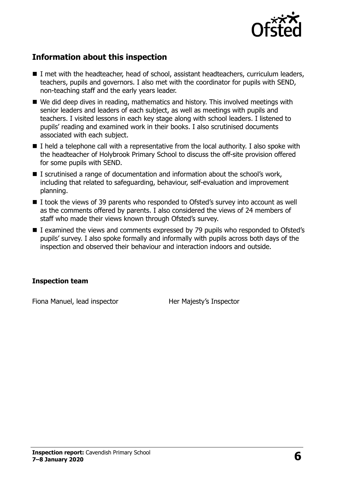

# **Information about this inspection**

- I met with the headteacher, head of school, assistant headteachers, curriculum leaders, teachers, pupils and governors. I also met with the coordinator for pupils with SEND, non-teaching staff and the early years leader.
- We did deep dives in reading, mathematics and history. This involved meetings with senior leaders and leaders of each subject, as well as meetings with pupils and teachers. I visited lessons in each key stage along with school leaders. I listened to pupils' reading and examined work in their books. I also scrutinised documents associated with each subject.
- $\blacksquare$  I held a telephone call with a representative from the local authority. I also spoke with the headteacher of Holybrook Primary School to discuss the off-site provision offered for some pupils with SEND.
- I scrutinised a range of documentation and information about the school's work, including that related to safeguarding, behaviour, self-evaluation and improvement planning.
- I took the views of 39 parents who responded to Ofsted's survey into account as well as the comments offered by parents. I also considered the views of 24 members of staff who made their views known through Ofsted's survey.
- I examined the views and comments expressed by 79 pupils who responded to Ofsted's pupils' survey. I also spoke formally and informally with pupils across both days of the inspection and observed their behaviour and interaction indoors and outside.

#### **Inspection team**

Fiona Manuel, lead inspector **Her Majesty's Inspector**